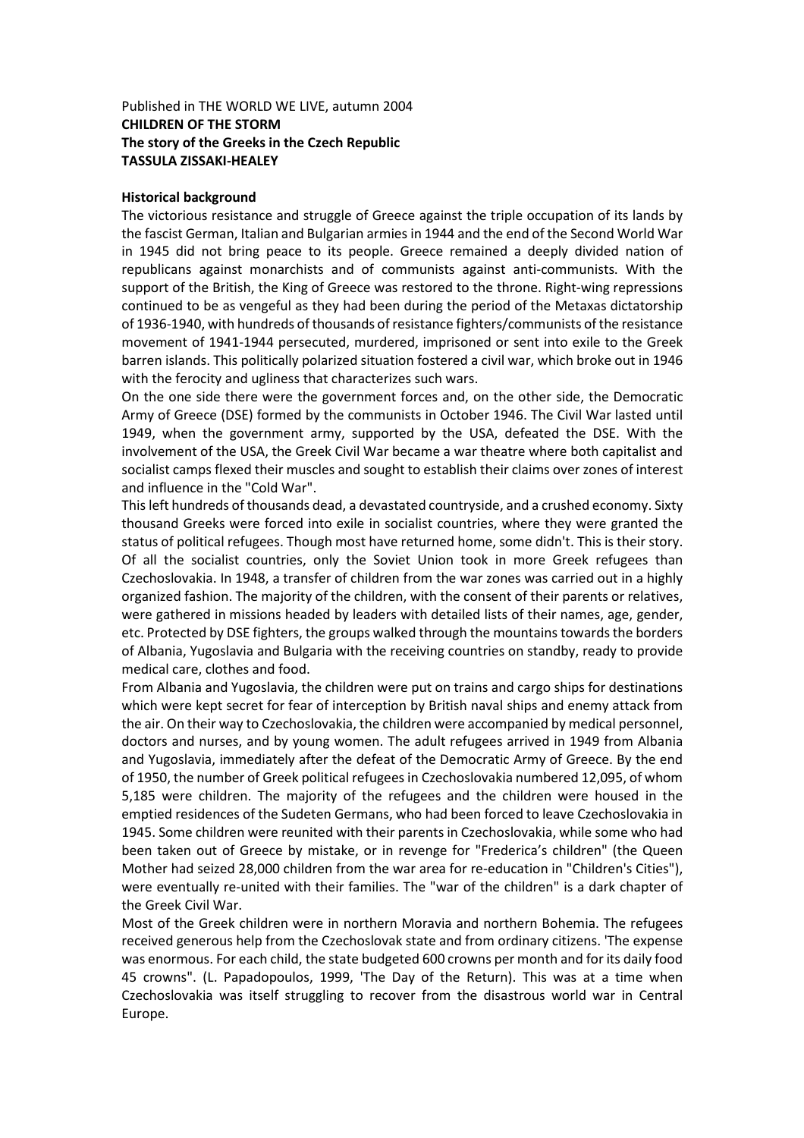## Published in THE WORLD WE LIVE, autumn 2004 **CHILDREN OF THE STORM The story of the Greeks in the Czech Republic TASSULA ZISSAKI-HEALEY**

## **Historical background**

The victorious resistance and struggle of Greece against the triple occupation of its lands by the fascist German, Italian and Bulgarian armies in 1944 and the end of the Second World War in 1945 did not bring peace to its people. Greece remained a deeply divided nation of republicans against monarchists and of communists against anti-communists. With the support of the British, the King of Greece was restored to the throne. Right-wing repressions continued to be as vengeful as they had been during the period of the Metaxas dictatorship of 1936-1940, with hundreds of thousands of resistance fighters/communists of the resistance movement of 1941-1944 persecuted, murdered, imprisoned or sent into exile to the Greek barren islands. This politically polarized situation fostered a civil war, which broke out in 1946 with the ferocity and ugliness that characterizes such wars.

On the one side there were the government forces and, on the other side, the Democratic Army of Greece (DSE) formed by the communists in October 1946. The Civil War lasted until 1949, when the government army, supported by the USA, defeated the DSE. With the involvement of the USA, the Greek Civil War became a war theatre where both capitalist and socialist camps flexed their muscles and sought to establish their claims over zones of interest and influence in the "Cold War".

This left hundreds of thousands dead, a devastated countryside, and a crushed economy. Sixty thousand Greeks were forced into exile in socialist countries, where they were granted the status of political refugees. Though most have returned home, some didn't. This is their story. Of all the socialist countries, only the Soviet Union took in more Greek refugees than Czechoslovakia. In 1948, a transfer of children from the war zones was carried out in a highly organized fashion. The majority of the children, with the consent of their parents or relatives, were gathered in missions headed by leaders with detailed lists of their names, age, gender, etc. Protected by DSE fighters, the groups walked through the mountains towards the borders of Albania, Yugoslavia and Bulgaria with the receiving countries on standby, ready to provide medical care, clothes and food.

From Albania and Yugoslavia, the children were put on trains and cargo ships for destinations which were kept secret for fear of interception by British naval ships and enemy attack from the air. On their way to Czechoslovakia, the children were accompanied by medical personnel, doctors and nurses, and by young women. The adult refugees arrived in 1949 from Albania and Yugoslavia, immediately after the defeat of the Democratic Army of Greece. By the end of 1950, the number of Greek political refugees in Czechoslovakia numbered 12,095, of whom 5,185 were children. The majority of the refugees and the children were housed in the emptied residences of the Sudeten Germans, who had been forced to leave Czechoslovakia in 1945. Some children were reunited with their parents in Czechoslovakia, while some who had been taken out of Greece by mistake, or in revenge for "Frederica's children" (the Queen Mother had seized 28,000 children from the war area for re-education in "Children's Cities"), were eventually re-united with their families. The "war of the children" is a dark chapter of the Greek Civil War.

Most of the Greek children were in northern Moravia and northern Bohemia. The refugees received generous help from the Czechoslovak state and from ordinary citizens. 'The expense was enormous. For each child, the state budgeted 600 crowns per month and for its daily food 45 crowns". (L. Papadopoulos, 1999, 'The Day of the Return). This was at a time when Czechoslovakia was itself struggling to recover from the disastrous world war in Central Europe.